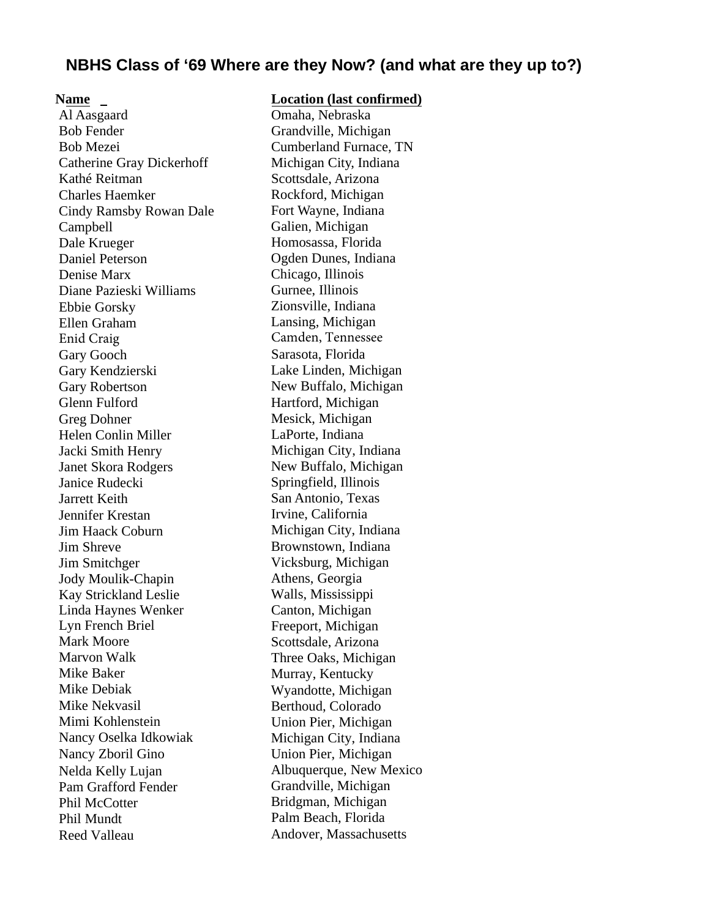#### Name \_

Al Aasgaard Bob Fender Bob Mezei Catherine Gray Dickerhoff Kathé Reitman Charles Haemker Cindy Ramsby Rowan Dale Campbell Dale Krueger Daniel Peterson Denise Marx Diane Pazieski Williams Ebbie Gorsky Ellen Graham Enid Craig Gary Gooch Gary Kendzierski Gary Robertson Glenn Fulford Greg Dohner Helen Conlin Miller Jacki Smith Henry Janet Skora Rodgers Janice Rudecki Jarrett Keith Jennifer Krestan Jim Haack Coburn Jim Shreve Jim Smitchger Jody Moulik-Chapin Kay Strickland Leslie Linda Haynes Wenker Lyn French Briel Mark Moore Marvon Walk Mike Baker Mike Debiak Mike Nekvasil Mimi Kohlenstein Nancy Oselka Idkowiak Nancy Zboril Gino Nelda Kelly Lujan Pam Grafford Fender Phil McCotter Phil Mundt Reed Valleau

#### Location (last confirmed)

Omaha, Nebraska Grandville, Michigan Cumberland Furnace, TN Michigan City, Indiana Scottsdale, Arizona Rockford, Michigan Fort Wayne, Indiana Galien, Michigan Homosassa, Florida Ogden Dunes, Indiana Chicago, Illinois Gurnee, Illinois Zionsville, Indiana Lansing, Michigan Camden, Tennessee Sarasota, Florida Lake Linden, Michigan New Buffalo, Michigan Hartford, Michigan Mesick, Michigan LaPorte, Indiana Michigan City, Indiana New Buffalo, Michigan Springfield, Illinois San Antonio, Texas Irvine, California Michigan City, Indiana Brownstown, Indiana Vicksburg, Michigan Athens, Georgia Walls, Mississippi Canton, Michigan Freeport, Michigan Scottsdale, Arizona Three Oaks, Michigan Murray, Kentucky Wyandotte, Michigan Berthoud, Colorado Union Pier, Michigan Michigan City, Indiana Union Pier, Michigan Albuquerque, New Mexico Grandville, Michigan Bridgman, Michigan Palm Beach, Florida Andover, Massachusetts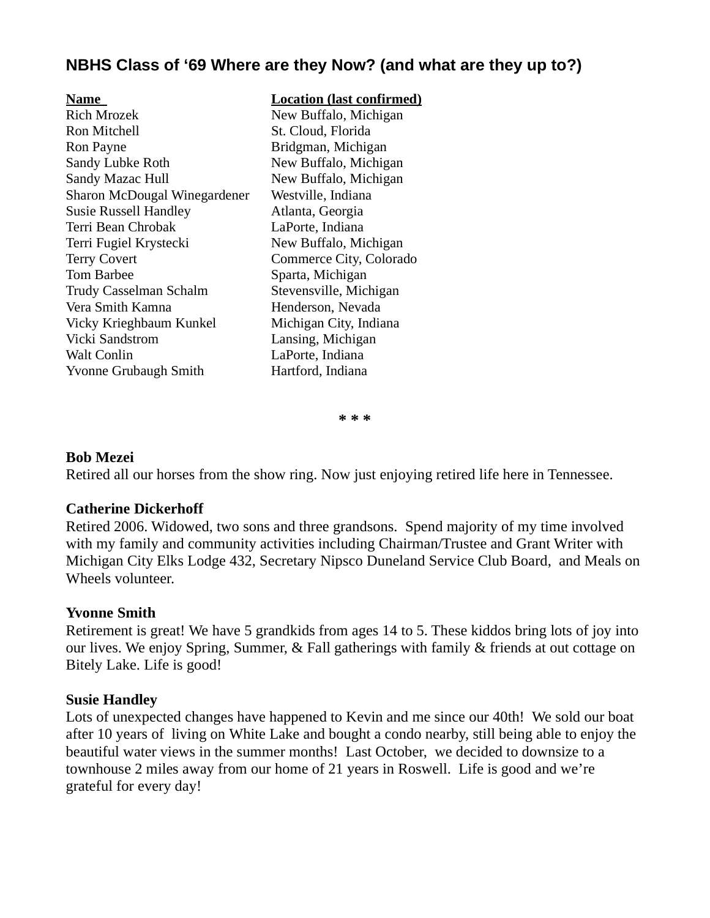#### Name Location (last confirmed)

Rich Mrozek New Buffalo, Michigan Ron Mitchell St. Cloud, Florida Ron Payne Bridgman, Michigan Sandy Lubke Roth New Buffalo, Michigan Sandy Mazac Hull New Buffalo, Michigan Sharon McDougal Winegardener Westville, Indiana Susie Russell Handley Atlanta, Georgia Terri Bean Chrobak LaPorte, Indiana Terri Fugiel Krystecki New Buffalo, Michigan Terry Covert Commerce City, Colorado Tom Barbee Sparta, Michigan Trudy Casselman Schalm Stevensville, Michigan Vera Smith Kamna **Henderson**, Nevada Vicky Krieghbaum Kunkel Michigan City, Indiana Vicki Sandstrom Lansing, Michigan Walt Conlin LaPorte, Indiana Yvonne Grubaugh Smith Hartford, Indiana

\* \* \*

#### Bob Mezei

Retired all our horses from the show ring. Now just enjoying retired life here in Tennessee.

#### Catherine Dickerhoff

Retired 2006. Widowed, two sons and three grandsons. Spend majority of my time involved with my family and community activities including Chairman/Trustee and Grant Writer with Michigan City Elks Lodge 432, Secretary Nipsco Duneland Service Club Board, and Meals on Wheels volunteer.

#### Yvonne Smith

Retirement is great! We have 5 grandkids from ages 14 to 5. These kiddos bring lots of joy into our lives. We enjoy Spring, Summer, & Fall gatherings with family & friends at out cottage on Bitely Lake. Life is good!

#### Susie Handley

Lots of unexpected changes have happened to Kevin and me since our 40th! We sold our boat after 10 years of living on White Lake and bought a condo nearby, still being able to enjoy the beautiful water views in the summer months! Last October, we decided to downsize to a townhouse 2 miles away from our home of 21 years in Roswell. Life is good and we're grateful for every day!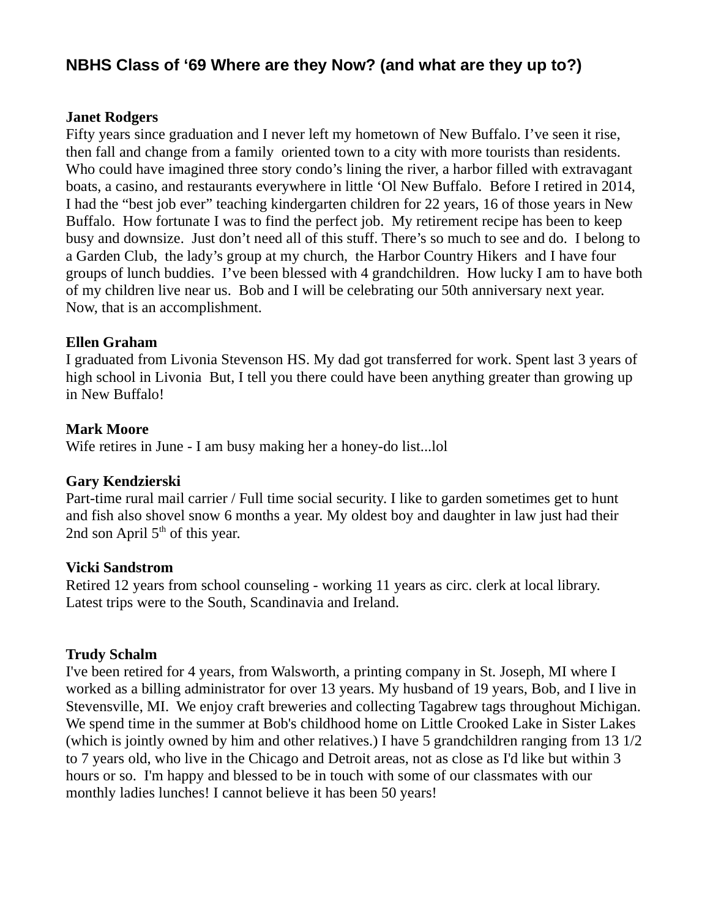#### Janet Rodgers

Fifty years since graduation and I never left my hometown of New Buffalo. I've seen it rise, then fall and change from a family oriented town to a city with more tourists than residents. Who could have imagined three story condo's lining the river, a harbor filled with extravagant boats, a casino, and restaurants everywhere in little 'Ol New Buffalo. Before I retired in 2014, I had the "best job ever" teaching kindergarten children for 22 years, 16 of those years in New Buffalo. How fortunate I was to find the perfect job. My retirement recipe has been to keep busy and downsize. Just don't need all of this stuff. There's so much to see and do. I belong to a Garden Club, the lady's group at my church, the Harbor Country Hikers and I have four groups of lunch buddies. I've been blessed with 4 grandchildren. How lucky I am to have both of my children live near us. Bob and I will be celebrating our 50th anniversary next year. Now, that is an accomplishment.

#### Ellen Graham

I graduated from Livonia Stevenson HS. My dad got transferred for work. Spent last 3 years of high school in Livonia But, I tell you there could have been anything greater than growing up in New Buffalo!

#### Mark Moore

Wife retires in June - I am busy making her a honey-do list...lol

## Gary Kendzierski

Part-time rural mail carrier / Full time social security. I like to garden sometimes get to hunt and fish also shovel snow 6 months a year. My oldest boy and daughter in law just had their 2nd son April  $5<sup>th</sup>$  of this year.

#### Vicki Sandstrom

Retired 12 years from school counseling - working 11 years as circ. clerk at local library. Latest trips were to the South, Scandinavia and Ireland.

## Trudy Schalm

I've been retired for 4 years, from Walsworth, a printing company in St. Joseph, MI where I worked as a billing administrator for over 13 years. My husband of 19 years, Bob, and I live in Stevensville, MI. We enjoy craft breweries and collecting Tagabrew tags throughout Michigan. We spend time in the summer at Bob's childhood home on Little Crooked Lake in Sister Lakes (which is jointly owned by him and other relatives.) I have 5 grandchildren ranging from 13 1/2 to 7 years old, who live in the Chicago and Detroit areas, not as close as I'd like but within 3 hours or so. I'm happy and blessed to be in touch with some of our classmates with our monthly ladies lunches! I cannot believe it has been 50 years!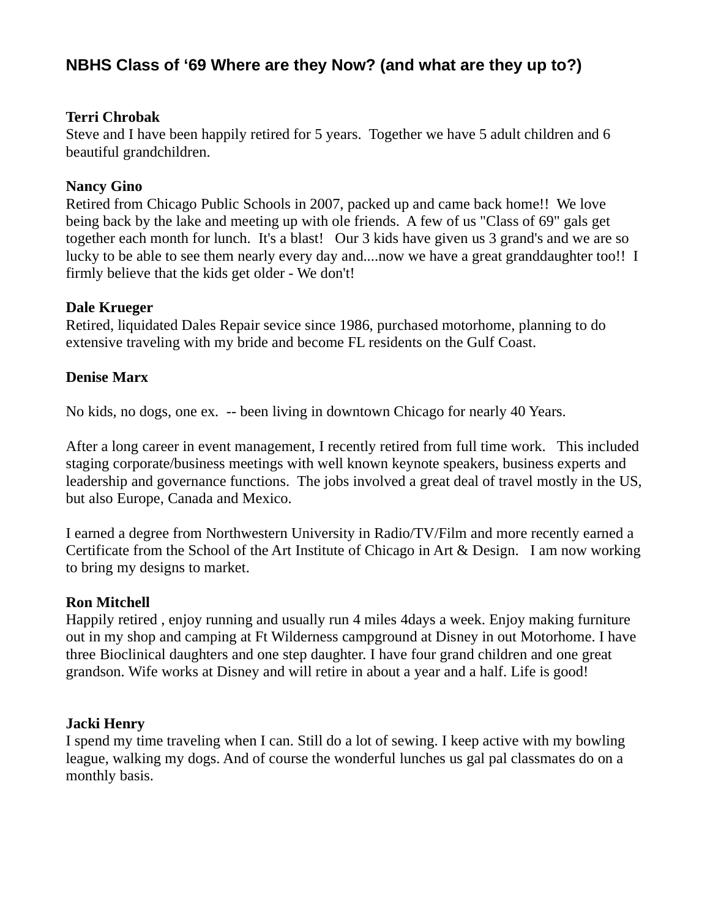#### Terri Chrobak

Steve and I have been happily retired for 5 years. Together we have 5 adult children and 6 beautiful grandchildren.

## Nancy Gino

Retired from Chicago Public Schools in 2007, packed up and came back home!! We love being back by the lake and meeting up with ole friends. A few of us "Class of 69" gals get together each month for lunch. It's a blast! Our 3 kids have given us 3 grand's and we are so lucky to be able to see them nearly every day and....now we have a great granddaughter too!! I firmly believe that the kids get older - We don't!

## Dale Krueger

Retired, liquidated Dales Repair sevice since 1986, purchased motorhome, planning to do extensive traveling with my bride and become FL residents on the Gulf Coast.

## Denise Marx

No kids, no dogs, one ex. -- been living in downtown Chicago for nearly 40 Years.

After a long career in event management, I recently retired from full time work. This included staging corporate/business meetings with well known keynote speakers, business experts and leadership and governance functions. The jobs involved a great deal of travel mostly in the US, but also Europe, Canada and Mexico.

I earned a degree from Northwestern University in Radio/TV/Film and more recently earned a Certificate from the School of the Art Institute of Chicago in Art & Design. I am now working to bring my designs to market.

## Ron Mitchell

Happily retired , enjoy running and usually run 4 miles 4days a week. Enjoy making furniture out in my shop and camping at Ft Wilderness campground at Disney in out Motorhome. I have three Bioclinical daughters and one step daughter. I have four grand children and one great grandson. Wife works at Disney and will retire in about a year and a half. Life is good!

## Jacki Henry

I spend my time traveling when I can. Still do a lot of sewing. I keep active with my bowling league, walking my dogs. And of course the wonderful lunches us gal pal classmates do on a monthly basis.